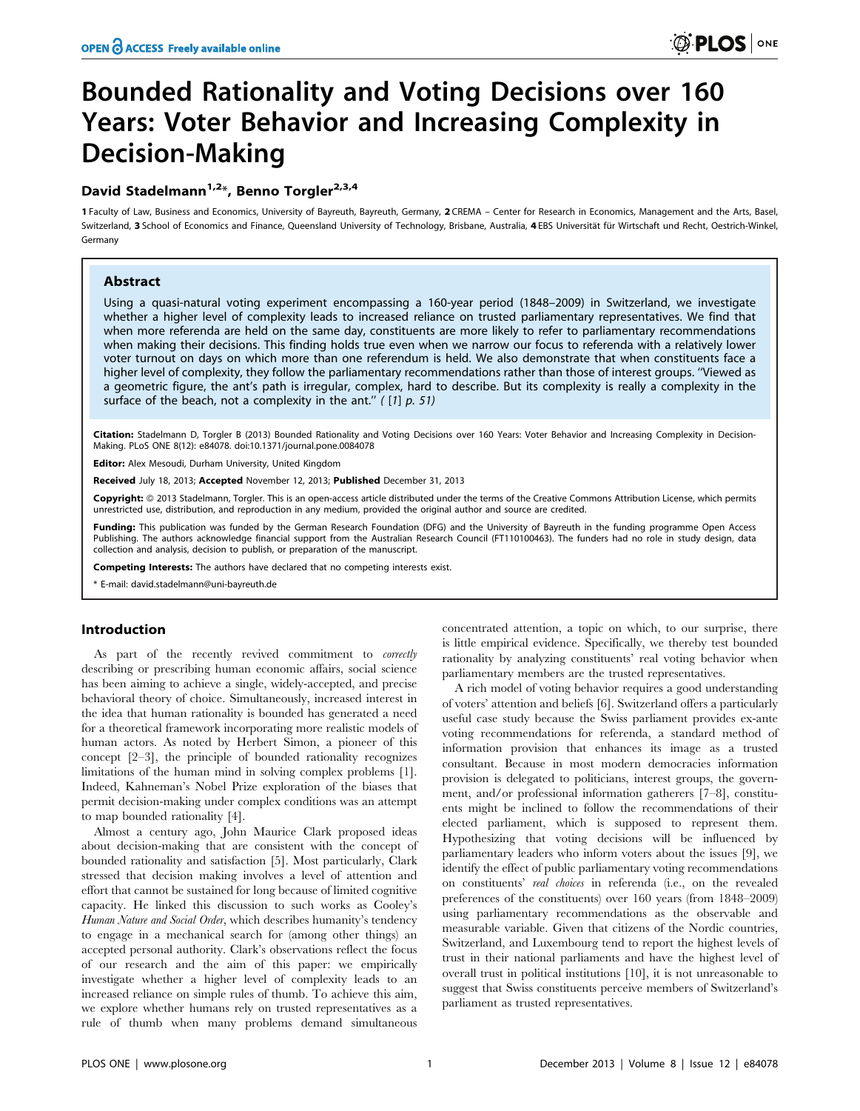# Bounded Rationality and Voting Decisions over 160 Years: Voter Behavior and Increasing Complexity in Decision-Making

# David Stadelmann<sup>1,2\*</sup>, Benno Torgler<sup>2,3,4</sup>

1 Faculty of Law, Business and Economics, University of Bayreuth, Bayreuth, Germany, 2 CREMA - Center for Research in Economics, Management and the Arts, Basel, Switzerland, 3 School of Economics and Finance, Queensland University of Technology, Brisbane, Australia, 4 EBS Universität für Wirtschaft und Recht, Oestrich-Winkel, Germany

# Abstract

Using a quasi-natural voting experiment encompassing a 160-year period (1848–2009) in Switzerland, we investigate whether a higher level of complexity leads to increased reliance on trusted parliamentary representatives. We find that when more referenda are held on the same day, constituents are more likely to refer to parliamentary recommendations when making their decisions. This finding holds true even when we narrow our focus to referenda with a relatively lower voter turnout on days on which more than one referendum is held. We also demonstrate that when constituents face a higher level of complexity, they follow the parliamentary recommendations rather than those of interest groups. ''Viewed as a geometric figure, the ant's path is irregular, complex, hard to describe. But its complexity is really a complexity in the surface of the beach, not a complexity in the ant."  $(1] p. 51)$ 

Citation: Stadelmann D, Torgler B (2013) Bounded Rationality and Voting Decisions over 160 Years: Voter Behavior and Increasing Complexity in Decision-Making. PLoS ONE 8(12): e84078. doi:10.1371/journal.pone.0084078

Editor: Alex Mesoudi, Durham University, United Kingdom

Received July 18, 2013; Accepted November 12, 2013; Published December 31, 2013

Copyright: © 2013 Stadelmann, Torgler. This is an open-access article distributed under the terms of the Creative Commons Attribution License, which permits unrestricted use, distribution, and reproduction in any medium, provided the original author and source are credited.

Funding: This publication was funded by the German Research Foundation (DFG) and the University of Bayreuth in the funding programme Open Access Publishing. The authors acknowledge financial support from the Australian Research Council (FT110100463). The funders had no role in study design, data collection and analysis, decision to publish, or preparation of the manuscript.

Competing Interests: The authors have declared that no competing interests exist.

\* E-mail: david.stadelmann@uni-bayreuth.de

# Introduction

As part of the recently revived commitment to *correctly* describing or prescribing human economic affairs, social science has been aiming to achieve a single, widely-accepted, and precise behavioral theory of choice. Simultaneously, increased interest in the idea that human rationality is bounded has generated a need for a theoretical framework incorporating more realistic models of human actors. As noted by Herbert Simon, a pioneer of this concept [2–3], the principle of bounded rationality recognizes limitations of the human mind in solving complex problems [1]. Indeed, Kahneman's Nobel Prize exploration of the biases that permit decision-making under complex conditions was an attempt to map bounded rationality [4].

Almost a century ago, John Maurice Clark proposed ideas about decision-making that are consistent with the concept of bounded rationality and satisfaction [5]. Most particularly, Clark stressed that decision making involves a level of attention and effort that cannot be sustained for long because of limited cognitive capacity. He linked this discussion to such works as Cooley's Human Nature and Social Order, which describes humanity's tendency to engage in a mechanical search for (among other things) an accepted personal authority. Clark's observations reflect the focus of our research and the aim of this paper: we empirically investigate whether a higher level of complexity leads to an increased reliance on simple rules of thumb. To achieve this aim, we explore whether humans rely on trusted representatives as a rule of thumb when many problems demand simultaneous

concentrated attention, a topic on which, to our surprise, there is little empirical evidence. Specifically, we thereby test bounded rationality by analyzing constituents' real voting behavior when parliamentary members are the trusted representatives.

A rich model of voting behavior requires a good understanding of voters' attention and beliefs [6]. Switzerland offers a particularly useful case study because the Swiss parliament provides ex-ante voting recommendations for referenda, a standard method of information provision that enhances its image as a trusted consultant. Because in most modern democracies information provision is delegated to politicians, interest groups, the government, and/or professional information gatherers [7–8], constituents might be inclined to follow the recommendations of their elected parliament, which is supposed to represent them. Hypothesizing that voting decisions will be influenced by parliamentary leaders who inform voters about the issues [9], we identify the effect of public parliamentary voting recommendations on constituents' real choices in referenda (i.e., on the revealed preferences of the constituents) over 160 years (from 1848–2009) using parliamentary recommendations as the observable and measurable variable. Given that citizens of the Nordic countries, Switzerland, and Luxembourg tend to report the highest levels of trust in their national parliaments and have the highest level of overall trust in political institutions [10], it is not unreasonable to suggest that Swiss constituents perceive members of Switzerland's parliament as trusted representatives.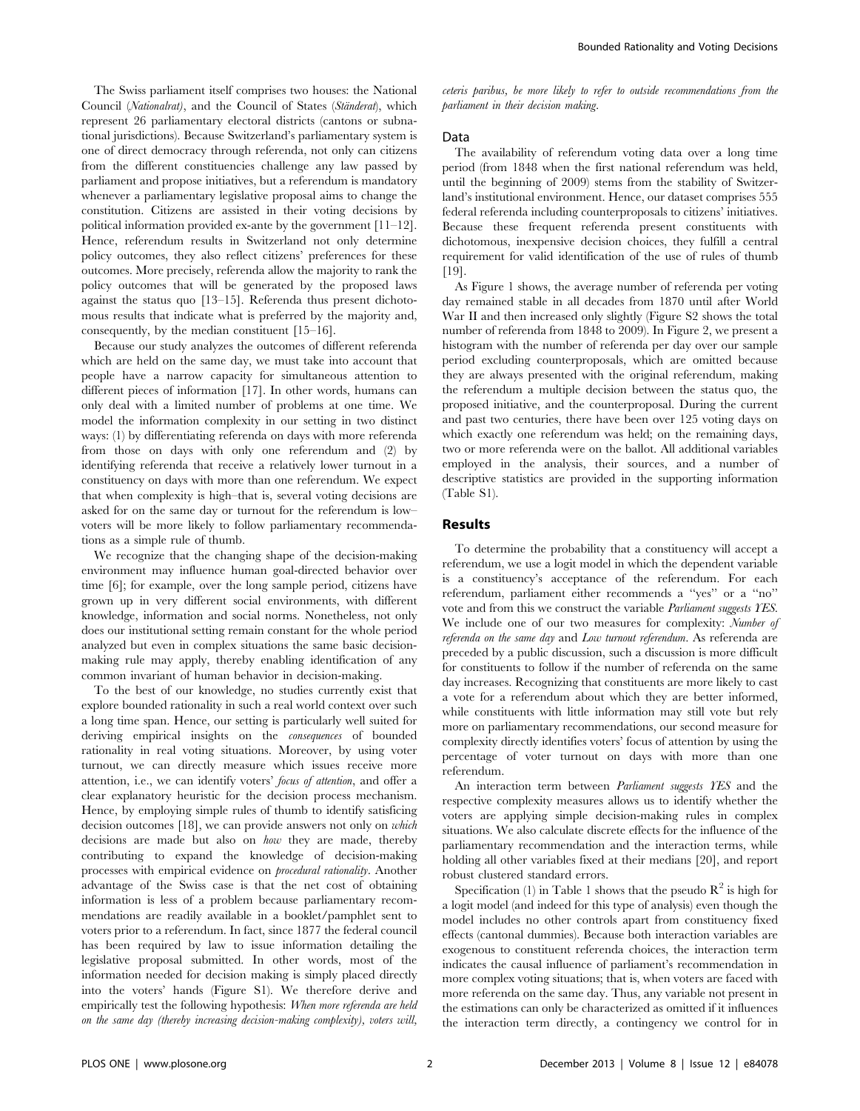The Swiss parliament itself comprises two houses: the National Council (Nationalrat), and the Council of States (Ständerat), which represent 26 parliamentary electoral districts (cantons or subnational jurisdictions). Because Switzerland's parliamentary system is one of direct democracy through referenda, not only can citizens from the different constituencies challenge any law passed by parliament and propose initiatives, but a referendum is mandatory whenever a parliamentary legislative proposal aims to change the constitution. Citizens are assisted in their voting decisions by political information provided ex-ante by the government [11–12]. Hence, referendum results in Switzerland not only determine policy outcomes, they also reflect citizens' preferences for these outcomes. More precisely, referenda allow the majority to rank the policy outcomes that will be generated by the proposed laws against the status quo [13–15]. Referenda thus present dichotomous results that indicate what is preferred by the majority and, consequently, by the median constituent [15–16].

Because our study analyzes the outcomes of different referenda which are held on the same day, we must take into account that people have a narrow capacity for simultaneous attention to different pieces of information [17]. In other words, humans can only deal with a limited number of problems at one time. We model the information complexity in our setting in two distinct ways: (1) by differentiating referenda on days with more referenda from those on days with only one referendum and (2) by identifying referenda that receive a relatively lower turnout in a constituency on days with more than one referendum. We expect that when complexity is high–that is, several voting decisions are asked for on the same day or turnout for the referendum is low– voters will be more likely to follow parliamentary recommendations as a simple rule of thumb.

We recognize that the changing shape of the decision-making environment may influence human goal-directed behavior over time [6]; for example, over the long sample period, citizens have grown up in very different social environments, with different knowledge, information and social norms. Nonetheless, not only does our institutional setting remain constant for the whole period analyzed but even in complex situations the same basic decisionmaking rule may apply, thereby enabling identification of any common invariant of human behavior in decision-making.

To the best of our knowledge, no studies currently exist that explore bounded rationality in such a real world context over such a long time span. Hence, our setting is particularly well suited for deriving empirical insights on the consequences of bounded rationality in real voting situations. Moreover, by using voter turnout, we can directly measure which issues receive more attention, i.e., we can identify voters' focus of attention, and offer a clear explanatory heuristic for the decision process mechanism. Hence, by employing simple rules of thumb to identify satisficing decision outcomes [18], we can provide answers not only on which decisions are made but also on how they are made, thereby contributing to expand the knowledge of decision-making processes with empirical evidence on procedural rationality. Another advantage of the Swiss case is that the net cost of obtaining information is less of a problem because parliamentary recommendations are readily available in a booklet/pamphlet sent to voters prior to a referendum. In fact, since 1877 the federal council has been required by law to issue information detailing the legislative proposal submitted. In other words, most of the information needed for decision making is simply placed directly into the voters' hands (Figure S1). We therefore derive and empirically test the following hypothesis: When more referenda are held on the same day (thereby increasing decision-making complexity), voters will,

ceteris paribus, be more likely to refer to outside recommendations from the parliament in their decision making.

#### Data

The availability of referendum voting data over a long time period (from 1848 when the first national referendum was held, until the beginning of 2009) stems from the stability of Switzerland's institutional environment. Hence, our dataset comprises 555 federal referenda including counterproposals to citizens' initiatives. Because these frequent referenda present constituents with dichotomous, inexpensive decision choices, they fulfill a central requirement for valid identification of the use of rules of thumb [19].

As Figure 1 shows, the average number of referenda per voting day remained stable in all decades from 1870 until after World War II and then increased only slightly (Figure S2 shows the total number of referenda from 1848 to 2009). In Figure 2, we present a histogram with the number of referenda per day over our sample period excluding counterproposals, which are omitted because they are always presented with the original referendum, making the referendum a multiple decision between the status quo, the proposed initiative, and the counterproposal. During the current and past two centuries, there have been over 125 voting days on which exactly one referendum was held; on the remaining days, two or more referenda were on the ballot. All additional variables employed in the analysis, their sources, and a number of descriptive statistics are provided in the supporting information (Table S1).

## Results

To determine the probability that a constituency will accept a referendum, we use a logit model in which the dependent variable is a constituency's acceptance of the referendum. For each referendum, parliament either recommends a ''yes'' or a ''no'' vote and from this we construct the variable Parliament suggests YES. We include one of our two measures for complexity: Number of referenda on the same day and Low turnout referendum. As referenda are preceded by a public discussion, such a discussion is more difficult for constituents to follow if the number of referenda on the same day increases. Recognizing that constituents are more likely to cast a vote for a referendum about which they are better informed, while constituents with little information may still vote but rely more on parliamentary recommendations, our second measure for complexity directly identifies voters' focus of attention by using the percentage of voter turnout on days with more than one referendum.

An interaction term between *Parliament suggests YES* and the respective complexity measures allows us to identify whether the voters are applying simple decision-making rules in complex situations. We also calculate discrete effects for the influence of the parliamentary recommendation and the interaction terms, while holding all other variables fixed at their medians [20], and report robust clustered standard errors.

Specification (1) in Table 1 shows that the pseudo  $\mathbb{R}^2$  is high for a logit model (and indeed for this type of analysis) even though the model includes no other controls apart from constituency fixed effects (cantonal dummies). Because both interaction variables are exogenous to constituent referenda choices, the interaction term indicates the causal influence of parliament's recommendation in more complex voting situations; that is, when voters are faced with more referenda on the same day. Thus, any variable not present in the estimations can only be characterized as omitted if it influences the interaction term directly, a contingency we control for in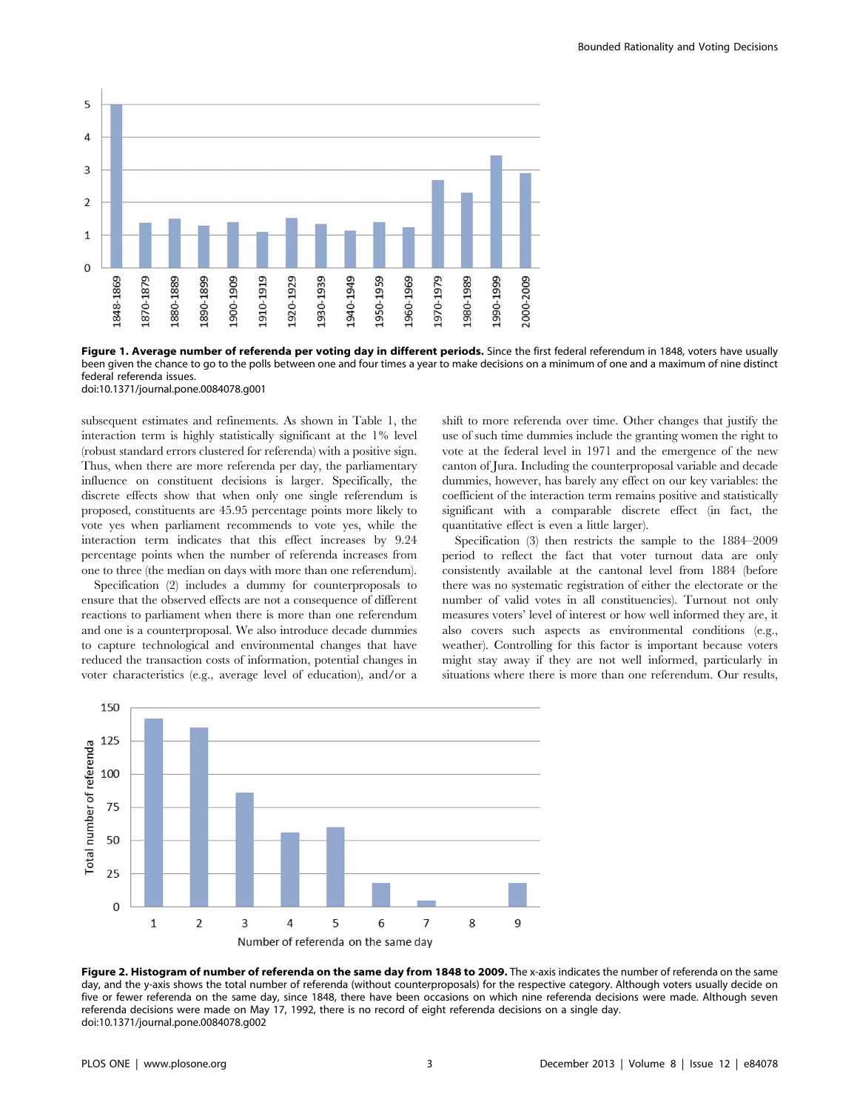

Figure 1. Average number of referenda per voting day in different periods. Since the first federal referendum in 1848, voters have usually been given the chance to go to the polls between one and four times a year to make decisions on a minimum of one and a maximum of nine distinct federal referenda issues.

doi:10.1371/journal.pone.0084078.g001

subsequent estimates and refinements. As shown in Table 1, the interaction term is highly statistically significant at the 1% level (robust standard errors clustered for referenda) with a positive sign. Thus, when there are more referenda per day, the parliamentary influence on constituent decisions is larger. Specifically, the discrete effects show that when only one single referendum is proposed, constituents are 45.95 percentage points more likely to vote yes when parliament recommends to vote yes, while the interaction term indicates that this effect increases by 9.24 percentage points when the number of referenda increases from one to three (the median on days with more than one referendum).

Specification (2) includes a dummy for counterproposals to ensure that the observed effects are not a consequence of different reactions to parliament when there is more than one referendum and one is a counterproposal. We also introduce decade dummies to capture technological and environmental changes that have reduced the transaction costs of information, potential changes in voter characteristics (e.g., average level of education), and/or a

shift to more referenda over time. Other changes that justify the use of such time dummies include the granting women the right to vote at the federal level in 1971 and the emergence of the new canton of Jura. Including the counterproposal variable and decade dummies, however, has barely any effect on our key variables: the coefficient of the interaction term remains positive and statistically significant with a comparable discrete effect (in fact, the quantitative effect is even a little larger).

Specification (3) then restricts the sample to the 1884–2009 period to reflect the fact that voter turnout data are only consistently available at the cantonal level from 1884 (before there was no systematic registration of either the electorate or the number of valid votes in all constituencies). Turnout not only measures voters' level of interest or how well informed they are, it also covers such aspects as environmental conditions (e.g., weather). Controlling for this factor is important because voters might stay away if they are not well informed, particularly in situations where there is more than one referendum. Our results,



Figure 2. Histogram of number of referenda on the same day from 1848 to 2009. The x-axis indicates the number of referenda on the same day, and the y-axis shows the total number of referenda (without counterproposals) for the respective category. Although voters usually decide on five or fewer referenda on the same day, since 1848, there have been occasions on which nine referenda decisions were made. Although seven referenda decisions were made on May 17, 1992, there is no record of eight referenda decisions on a single day. doi:10.1371/journal.pone.0084078.g002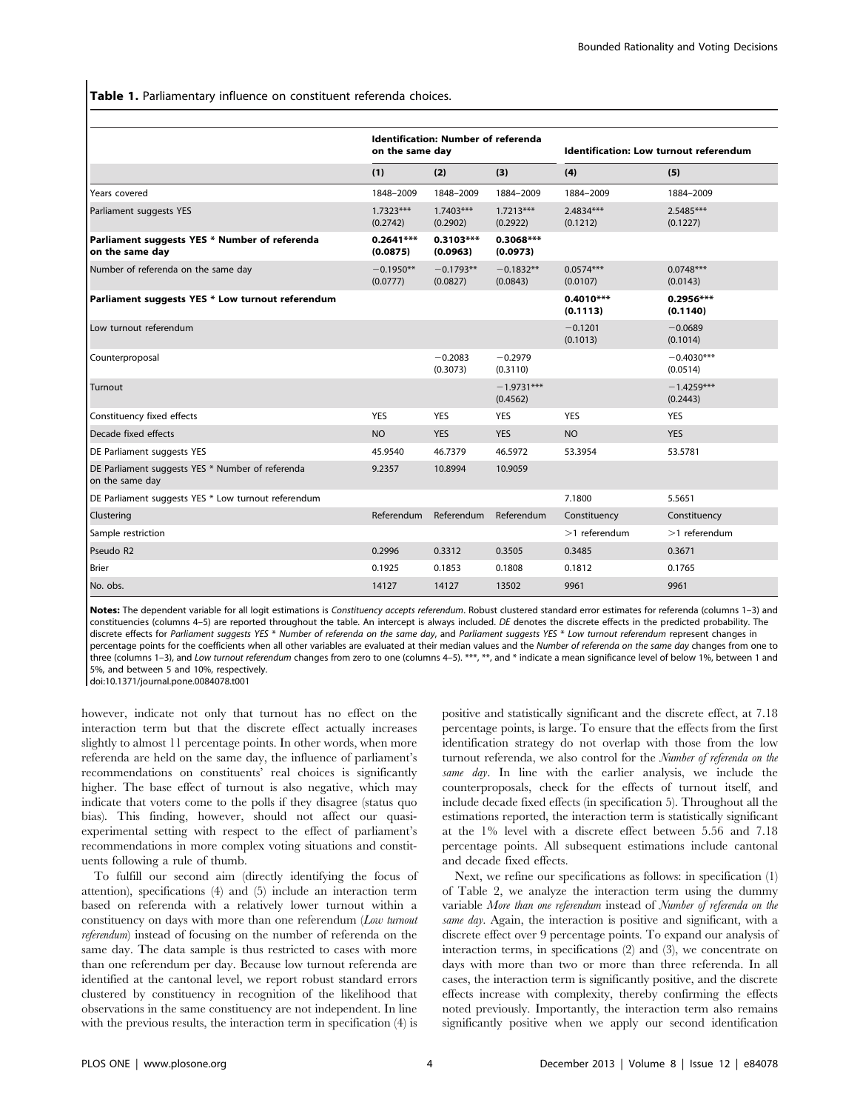Table 1. Parliamentary influence on constituent referenda choices.

|                                                                     | <b>Identification: Number of referenda</b><br>on the same day |                         |                          | Identification: Low turnout referendum |                          |  |
|---------------------------------------------------------------------|---------------------------------------------------------------|-------------------------|--------------------------|----------------------------------------|--------------------------|--|
|                                                                     | (1)                                                           | (2)                     | (3)                      | (4)                                    | (5)                      |  |
| Years covered                                                       | 1848-2009                                                     | 1848-2009               | 1884-2009                | 1884-2009                              | 1884-2009                |  |
| Parliament suggests YES                                             | $1.7323***$<br>(0.2742)                                       | $1.7403***$<br>(0.2902) | $1.7213***$<br>(0.2922)  | 2.4834***<br>(0.1212)                  | $2.5485***$<br>(0.1227)  |  |
| Parliament suggests YES * Number of referenda<br>on the same day    | $0.2641***$<br>(0.0875)                                       | $0.3103***$<br>(0.0963) | 0.3068***<br>(0.0973)    |                                        |                          |  |
| Number of referenda on the same day                                 | $-0.1950**$<br>(0.0777)                                       | $-0.1793**$<br>(0.0827) | $-0.1832**$<br>(0.0843)  | $0.0574***$<br>(0.0107)                | $0.0748***$<br>(0.0143)  |  |
| Parliament suggests YES * Low turnout referendum                    |                                                               |                         |                          | $0.4010***$<br>(0.1113)                | $0.2956***$<br>(0.1140)  |  |
| Low turnout referendum                                              |                                                               |                         |                          | $-0.1201$<br>(0.1013)                  | $-0.0689$<br>(0.1014)    |  |
| Counterproposal                                                     |                                                               | $-0.2083$<br>(0.3073)   | $-0.2979$<br>(0.3110)    |                                        | $-0.4030***$<br>(0.0514) |  |
| Turnout                                                             |                                                               |                         | $-1.9731***$<br>(0.4562) |                                        | $-1.4259***$<br>(0.2443) |  |
| Constituency fixed effects                                          | <b>YES</b>                                                    | <b>YES</b>              | <b>YES</b>               | <b>YES</b>                             | <b>YES</b>               |  |
| Decade fixed effects                                                | <b>NO</b>                                                     | <b>YES</b>              | <b>YES</b>               | <b>NO</b>                              | <b>YES</b>               |  |
| DE Parliament suggests YES                                          | 45.9540                                                       | 46.7379                 | 46.5972                  | 53.3954                                | 53.5781                  |  |
| DE Parliament suggests YES * Number of referenda<br>on the same day | 9.2357                                                        | 10.8994                 | 10.9059                  |                                        |                          |  |
| DE Parliament suggests YES * Low turnout referendum                 |                                                               |                         |                          | 7.1800                                 | 5.5651                   |  |
| Clustering                                                          | Referendum                                                    | Referendum              | Referendum               | Constituency                           | Constituency             |  |
| Sample restriction                                                  |                                                               |                         |                          | $>1$ referendum                        | $>1$ referendum          |  |
| Pseudo R2                                                           | 0.2996                                                        | 0.3312                  | 0.3505                   | 0.3485                                 | 0.3671                   |  |
| <b>Brier</b>                                                        | 0.1925                                                        | 0.1853                  | 0.1808                   | 0.1812                                 | 0.1765                   |  |
| No. obs.                                                            | 14127                                                         | 14127                   | 13502                    | 9961                                   | 9961                     |  |

Notes: The dependent variable for all logit estimations is Constituency accepts referendum. Robust clustered standard error estimates for referenda (columns 1-3) and constituencies (columns 4-5) are reported throughout the table. An intercept is always included. DE denotes the discrete effects in the predicted probability. The discrete effects for Parliament suggests YES \* Number of referenda on the same day, and Parliament suggests YES \* Low turnout referendum represent changes in percentage points for the coefficients when all other variables are evaluated at their median values and the Number of referenda on the same day changes from one to three (columns 1-3), and Low turnout referendum changes from zero to one (columns 4-5). \*\*\*, \*\*, and \* indicate a mean significance level of below 1%, between 1 and 5%, and between 5 and 10%, respectively.

doi:10.1371/journal.pone.0084078.t001

however, indicate not only that turnout has no effect on the interaction term but that the discrete effect actually increases slightly to almost 11 percentage points. In other words, when more referenda are held on the same day, the influence of parliament's recommendations on constituents' real choices is significantly higher. The base effect of turnout is also negative, which may indicate that voters come to the polls if they disagree (status quo bias). This finding, however, should not affect our quasiexperimental setting with respect to the effect of parliament's recommendations in more complex voting situations and constituents following a rule of thumb.

To fulfill our second aim (directly identifying the focus of attention), specifications (4) and (5) include an interaction term based on referenda with a relatively lower turnout within a constituency on days with more than one referendum (Low turnout referendum) instead of focusing on the number of referenda on the same day. The data sample is thus restricted to cases with more than one referendum per day. Because low turnout referenda are identified at the cantonal level, we report robust standard errors clustered by constituency in recognition of the likelihood that observations in the same constituency are not independent. In line with the previous results, the interaction term in specification (4) is positive and statistically significant and the discrete effect, at 7.18 percentage points, is large. To ensure that the effects from the first identification strategy do not overlap with those from the low turnout referenda, we also control for the Number of referenda on the same day. In line with the earlier analysis, we include the counterproposals, check for the effects of turnout itself, and include decade fixed effects (in specification 5). Throughout all the estimations reported, the interaction term is statistically significant at the 1% level with a discrete effect between 5.56 and 7.18 percentage points. All subsequent estimations include cantonal and decade fixed effects.

Next, we refine our specifications as follows: in specification  $(1)$ of Table 2, we analyze the interaction term using the dummy variable More than one referendum instead of Number of referenda on the same day. Again, the interaction is positive and significant, with a discrete effect over 9 percentage points. To expand our analysis of interaction terms, in specifications (2) and (3), we concentrate on days with more than two or more than three referenda. In all cases, the interaction term is significantly positive, and the discrete effects increase with complexity, thereby confirming the effects noted previously. Importantly, the interaction term also remains significantly positive when we apply our second identification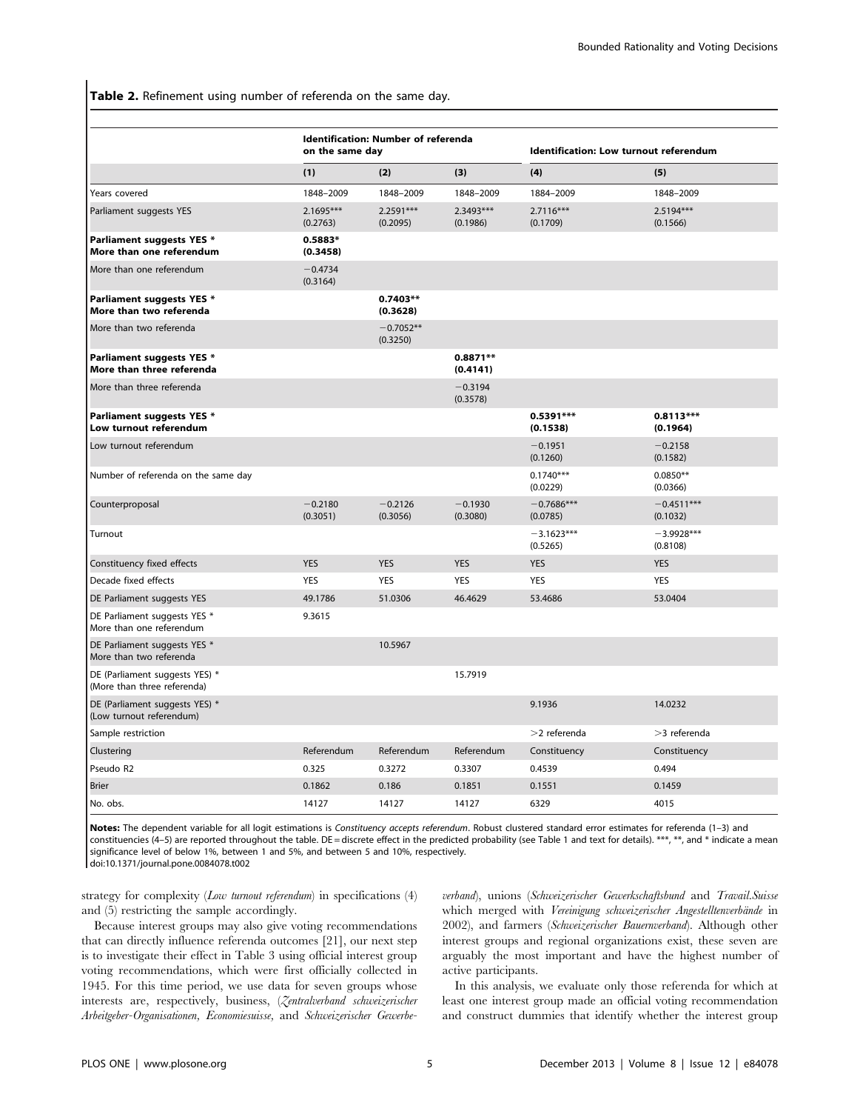Table 2. Refinement using number of referenda on the same day.

|                                                               |                         | Identification: Number of referenda<br>on the same day |                         |                          | Identification: Low turnout referendum |  |  |
|---------------------------------------------------------------|-------------------------|--------------------------------------------------------|-------------------------|--------------------------|----------------------------------------|--|--|
|                                                               | (1)                     | (2)                                                    | (3)                     | (4)                      | (5)                                    |  |  |
| Years covered                                                 | 1848-2009               | 1848-2009                                              | 1848-2009               | 1884-2009                | 1848-2009                              |  |  |
| Parliament suggests YES                                       | $2.1695***$<br>(0.2763) | $2.2591***$<br>(0.2095)                                | $2.3493***$<br>(0.1986) | $2.7116***$<br>(0.1709)  | $2.5194***$<br>(0.1566)                |  |  |
| <b>Parliament suggests YES *</b><br>More than one referendum  | $0.5883*$<br>(0.3458)   |                                                        |                         |                          |                                        |  |  |
| More than one referendum                                      | $-0.4734$<br>(0.3164)   |                                                        |                         |                          |                                        |  |  |
| Parliament suggests YES *<br>More than two referenda          |                         | $0.7403**$<br>(0.3628)                                 |                         |                          |                                        |  |  |
| More than two referenda                                       |                         | $-0.7052**$<br>(0.3250)                                |                         |                          |                                        |  |  |
| Parliament suggests YES *<br>More than three referenda        |                         |                                                        | 0.8871**<br>(0.4141)    |                          |                                        |  |  |
| More than three referenda                                     |                         |                                                        | $-0.3194$<br>(0.3578)   |                          |                                        |  |  |
| <b>Parliament suggests YES *</b><br>Low turnout referendum    |                         |                                                        |                         | $0.5391***$<br>(0.1538)  | $0.8113***$<br>(0.1964)                |  |  |
| Low turnout referendum                                        |                         |                                                        |                         | $-0.1951$<br>(0.1260)    | $-0.2158$<br>(0.1582)                  |  |  |
| Number of referenda on the same day                           |                         |                                                        |                         | $0.1740***$<br>(0.0229)  | $0.0850**$<br>(0.0366)                 |  |  |
| Counterproposal                                               | $-0.2180$<br>(0.3051)   | $-0.2126$<br>(0.3056)                                  | $-0.1930$<br>(0.3080)   | $-0.7686***$<br>(0.0785) | $-0.4511***$<br>(0.1032)               |  |  |
| Turnout                                                       |                         |                                                        |                         | $-3.1623***$<br>(0.5265) | $-3.9928***$<br>(0.8108)               |  |  |
| Constituency fixed effects                                    | <b>YES</b>              | <b>YES</b>                                             | <b>YES</b>              | <b>YES</b>               | <b>YES</b>                             |  |  |
| Decade fixed effects                                          | <b>YES</b>              | <b>YES</b>                                             | <b>YES</b>              | <b>YES</b>               | <b>YES</b>                             |  |  |
| DE Parliament suggests YES                                    | 49.1786                 | 51.0306                                                | 46.4629                 | 53.4686                  | 53.0404                                |  |  |
| DE Parliament suggests YES *<br>More than one referendum      | 9.3615                  |                                                        |                         |                          |                                        |  |  |
| DE Parliament suggests YES *<br>More than two referenda       |                         | 10.5967                                                |                         |                          |                                        |  |  |
| DE (Parliament suggests YES) *<br>(More than three referenda) |                         |                                                        | 15.7919                 |                          |                                        |  |  |
| DE (Parliament suggests YES) *<br>(Low turnout referendum)    |                         |                                                        |                         | 9.1936                   | 14.0232                                |  |  |
| Sample restriction                                            |                         |                                                        |                         | $>$ 2 referenda          | $>3$ referenda                         |  |  |
| Clustering                                                    | Referendum              | Referendum                                             | Referendum              | Constituency             | Constituency                           |  |  |
| Pseudo R2                                                     | 0.325                   | 0.3272                                                 | 0.3307                  | 0.4539                   | 0.494                                  |  |  |
| <b>Brier</b>                                                  | 0.1862                  | 0.186                                                  | 0.1851                  | 0.1551                   | 0.1459                                 |  |  |
| No. obs.                                                      | 14127                   | 14127                                                  | 14127                   | 6329                     | 4015                                   |  |  |

Notes: The dependent variable for all logit estimations is Constituency accepts referendum. Robust clustered standard error estimates for referenda (1-3) and constituencies (4-5) are reported throughout the table. DE = discrete effect in the predicted probability (see Table 1 and text for details). \*\*\*, \*\*, and \* indicate a mean significance level of below 1%, between 1 and 5%, and between 5 and 10%, respectively. doi:10.1371/journal.pone.0084078.t002

strategy for complexity (Low turnout referendum) in specifications (4) and (5) restricting the sample accordingly.

Because interest groups may also give voting recommendations that can directly influence referenda outcomes [21], our next step is to investigate their effect in Table 3 using official interest group voting recommendations, which were first officially collected in 1945. For this time period, we use data for seven groups whose interests are, respectively, business, (Zentralverband schweizerischer Arbeitgeber-Organisationen, Economiesuisse, and Schweizerischer Gewerbeverband), unions (Schweizerischer Gewerkschaftsbund and Travail.Suisse which merged with Vereinigung schweizerischer Angestelltenverbände in 2002), and farmers (Schweizerischer Bauernverband). Although other interest groups and regional organizations exist, these seven are arguably the most important and have the highest number of active participants.

In this analysis, we evaluate only those referenda for which at least one interest group made an official voting recommendation and construct dummies that identify whether the interest group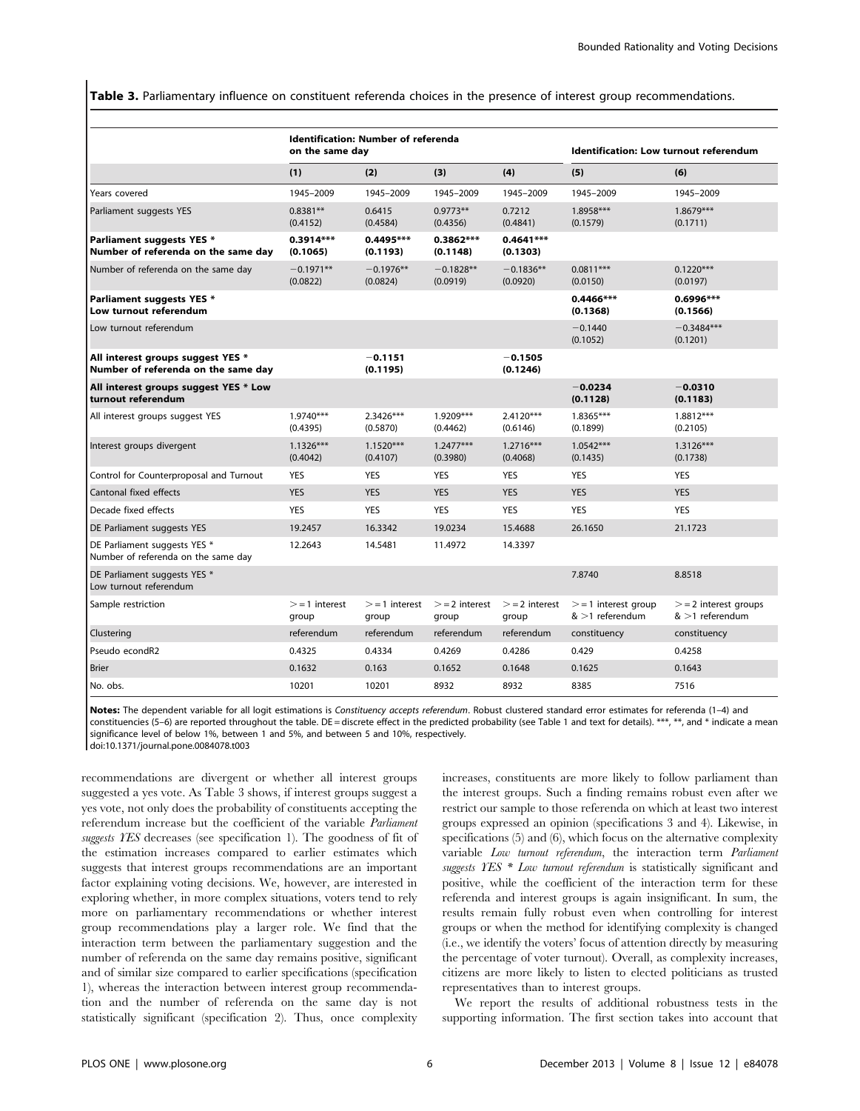Table 3. Parliamentary influence on constituent referenda choices in the presence of interest group recommendations.

|                                                                          | <b>Identification: Number of referenda</b><br>on the same day |                          |                          |                          | Identification: Low turnout referendum    |                                           |  |
|--------------------------------------------------------------------------|---------------------------------------------------------------|--------------------------|--------------------------|--------------------------|-------------------------------------------|-------------------------------------------|--|
|                                                                          | (1)                                                           | (2)                      | (3)                      | (4)                      | (5)                                       | (6)                                       |  |
| Years covered                                                            | 1945-2009                                                     | 1945-2009                | 1945-2009                | 1945-2009                | 1945-2009                                 | 1945-2009                                 |  |
| Parliament suggests YES                                                  | $0.8381**$<br>(0.4152)                                        | 0.6415<br>(0.4584)       | $0.9773**$<br>(0.4356)   | 0.7212<br>(0.4841)       | $1.8958***$<br>(0.1579)                   | $1.8679***$<br>(0.1711)                   |  |
| Parliament suggests YES *<br>Number of referenda on the same day         | $0.3914***$<br>(0.1065)                                       | 0.4495 ***<br>(0.1193)   | $0.3862***$<br>(0.1148)  | $0.4641***$<br>(0.1303)  |                                           |                                           |  |
| Number of referenda on the same day                                      | $-0.1971**$<br>(0.0822)                                       | $-0.1976**$<br>(0.0824)  | $-0.1828**$<br>(0.0919)  | $-0.1836**$<br>(0.0920)  | $0.0811***$<br>(0.0150)                   | $0.1220***$<br>(0.0197)                   |  |
| Parliament suggests YES *<br>Low turnout referendum                      |                                                               |                          |                          |                          | $0.4466***$<br>(0.1368)                   | 0.6996***<br>(0.1566)                     |  |
| Low turnout referendum                                                   |                                                               |                          |                          |                          | $-0.1440$<br>(0.1052)                     | $-0.3484***$<br>(0.1201)                  |  |
| All interest groups suggest YES *<br>Number of referenda on the same day |                                                               | $-0.1151$<br>(0.1195)    |                          | $-0.1505$<br>(0.1246)    |                                           |                                           |  |
| All interest groups suggest YES * Low<br>turnout referendum              |                                                               |                          |                          |                          | $-0.0234$<br>(0.1128)                     | $-0.0310$<br>(0.1183)                     |  |
| All interest groups suggest YES                                          | $1.9740***$<br>(0.4395)                                       | $2.3426***$<br>(0.5870)  | $1.9209***$<br>(0.4462)  | $2.4120***$<br>(0.6146)  | $1.8365***$<br>(0.1899)                   | $1.8812***$<br>(0.2105)                   |  |
| Interest groups divergent                                                | $1.1326***$<br>(0.4042)                                       | $1.1520***$<br>(0.4107)  | $1.2477***$<br>(0.3980)  | $1.2716***$<br>(0.4068)  | $1.0542***$<br>(0.1435)                   | $1.3126***$<br>(0.1738)                   |  |
| Control for Counterproposal and Turnout                                  | <b>YES</b>                                                    | <b>YES</b>               | <b>YES</b>               | <b>YES</b>               | <b>YES</b>                                | <b>YES</b>                                |  |
| Cantonal fixed effects                                                   | <b>YES</b>                                                    | <b>YES</b>               | <b>YES</b>               | <b>YES</b>               | <b>YES</b>                                | <b>YES</b>                                |  |
| Decade fixed effects                                                     | <b>YES</b>                                                    | <b>YES</b>               | <b>YES</b>               | <b>YES</b>               | <b>YES</b>                                | <b>YES</b>                                |  |
| DE Parliament suggests YES                                               | 19.2457                                                       | 16.3342                  | 19.0234                  | 15.4688                  | 26.1650                                   | 21.1723                                   |  |
| DE Parliament suggests YES *<br>Number of referenda on the same day      | 12.2643                                                       | 14.5481                  | 11.4972                  | 14.3397                  |                                           |                                           |  |
| DE Parliament suggests YES *<br>Low turnout referendum                   |                                                               |                          |                          |                          | 7.8740                                    | 8.8518                                    |  |
| Sample restriction                                                       | $>$ = 1 interest<br>group                                     | $>=$ 1 interest<br>group | $>=$ 2 interest<br>group | $>=$ 2 interest<br>group | $>$ = 1 interest group<br>$>1$ referendum | $>=$ 2 interest groups<br>$>1$ referendum |  |
| Clustering                                                               | referendum                                                    | referendum               | referendum               | referendum               | constituency                              | constituency                              |  |
| Pseudo econdR2                                                           | 0.4325                                                        | 0.4334                   | 0.4269                   | 0.4286                   | 0.429                                     | 0.4258                                    |  |
| <b>Brier</b>                                                             | 0.1632                                                        | 0.163                    | 0.1652                   | 0.1648                   | 0.1625                                    | 0.1643                                    |  |
| No. obs.                                                                 | 10201                                                         | 10201                    | 8932                     | 8932                     | 8385                                      | 7516                                      |  |

Notes: The dependent variable for all logit estimations is Constituency accepts referendum. Robust clustered standard error estimates for referenda (1-4) and constituencies (5-6) are reported throughout the table. DE = discrete effect in the predicted probability (see Table 1 and text for details). \*\*\*, \*\*, and \* indicate a mean significance level of below 1%, between 1 and 5%, and between 5 and 10%, respectively.

doi:10.1371/journal.pone.0084078.t003

recommendations are divergent or whether all interest groups suggested a yes vote. As Table 3 shows, if interest groups suggest a yes vote, not only does the probability of constituents accepting the referendum increase but the coefficient of the variable Parliament suggests YES decreases (see specification 1). The goodness of fit of the estimation increases compared to earlier estimates which suggests that interest groups recommendations are an important factor explaining voting decisions. We, however, are interested in exploring whether, in more complex situations, voters tend to rely more on parliamentary recommendations or whether interest group recommendations play a larger role. We find that the interaction term between the parliamentary suggestion and the number of referenda on the same day remains positive, significant and of similar size compared to earlier specifications (specification 1), whereas the interaction between interest group recommendation and the number of referenda on the same day is not statistically significant (specification 2). Thus, once complexity increases, constituents are more likely to follow parliament than the interest groups. Such a finding remains robust even after we restrict our sample to those referenda on which at least two interest groups expressed an opinion (specifications 3 and 4). Likewise, in specifications (5) and (6), which focus on the alternative complexity variable Low turnout referendum, the interaction term Parliament suggests YES \* Low turnout referendum is statistically significant and positive, while the coefficient of the interaction term for these referenda and interest groups is again insignificant. In sum, the results remain fully robust even when controlling for interest groups or when the method for identifying complexity is changed (i.e., we identify the voters' focus of attention directly by measuring the percentage of voter turnout). Overall, as complexity increases, citizens are more likely to listen to elected politicians as trusted representatives than to interest groups.

We report the results of additional robustness tests in the supporting information. The first section takes into account that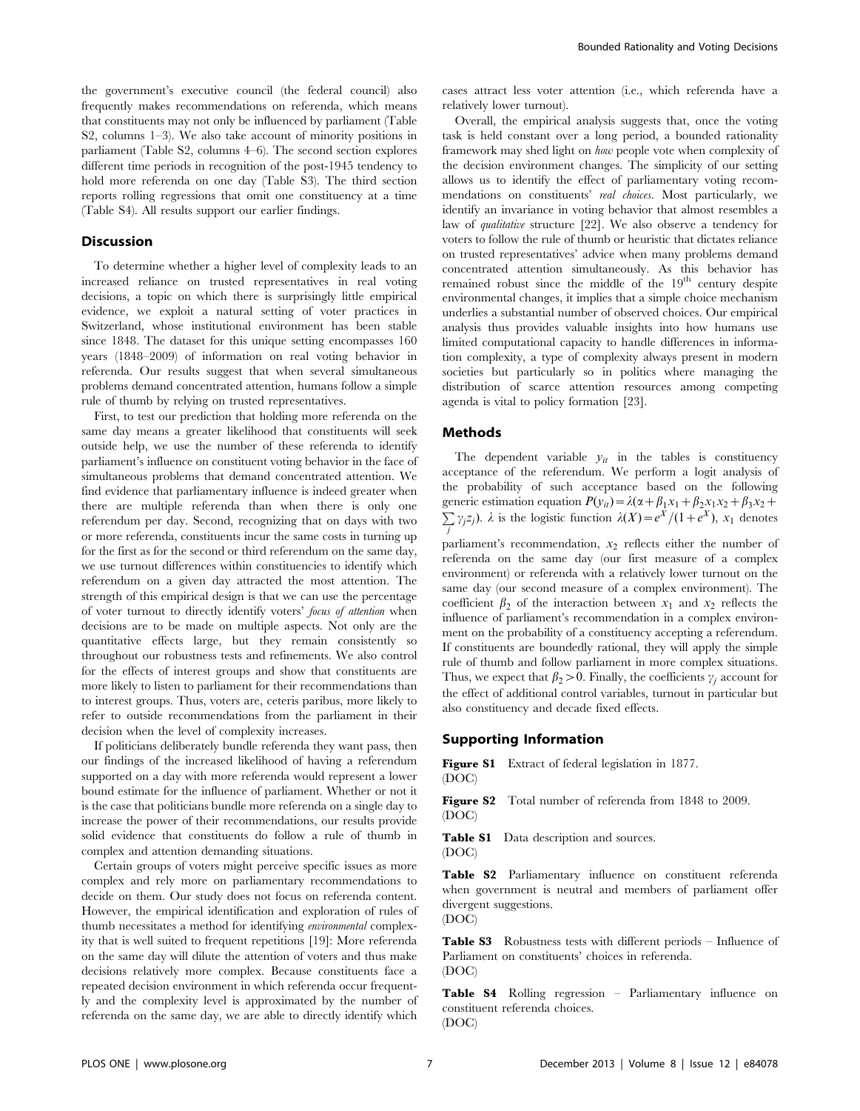the government's executive council (the federal council) also frequently makes recommendations on referenda, which means that constituents may not only be influenced by parliament (Table S2, columns 1–3). We also take account of minority positions in parliament (Table S2, columns 4–6). The second section explores different time periods in recognition of the post-1945 tendency to hold more referenda on one day (Table S3). The third section reports rolling regressions that omit one constituency at a time (Table S4). All results support our earlier findings.

#### **Discussion**

To determine whether a higher level of complexity leads to an increased reliance on trusted representatives in real voting decisions, a topic on which there is surprisingly little empirical evidence, we exploit a natural setting of voter practices in Switzerland, whose institutional environment has been stable since 1848. The dataset for this unique setting encompasses 160 years (1848–2009) of information on real voting behavior in referenda. Our results suggest that when several simultaneous problems demand concentrated attention, humans follow a simple rule of thumb by relying on trusted representatives.

First, to test our prediction that holding more referenda on the same day means a greater likelihood that constituents will seek outside help, we use the number of these referenda to identify parliament's influence on constituent voting behavior in the face of simultaneous problems that demand concentrated attention. We find evidence that parliamentary influence is indeed greater when there are multiple referenda than when there is only one referendum per day. Second, recognizing that on days with two or more referenda, constituents incur the same costs in turning up for the first as for the second or third referendum on the same day, we use turnout differences within constituencies to identify which referendum on a given day attracted the most attention. The strength of this empirical design is that we can use the percentage of voter turnout to directly identify voters' focus of attention when decisions are to be made on multiple aspects. Not only are the quantitative effects large, but they remain consistently so throughout our robustness tests and refinements. We also control for the effects of interest groups and show that constituents are more likely to listen to parliament for their recommendations than to interest groups. Thus, voters are, ceteris paribus, more likely to refer to outside recommendations from the parliament in their decision when the level of complexity increases.

If politicians deliberately bundle referenda they want pass, then our findings of the increased likelihood of having a referendum supported on a day with more referenda would represent a lower bound estimate for the influence of parliament. Whether or not it is the case that politicians bundle more referenda on a single day to increase the power of their recommendations, our results provide solid evidence that constituents do follow a rule of thumb in complex and attention demanding situations.

Certain groups of voters might perceive specific issues as more complex and rely more on parliamentary recommendations to decide on them. Our study does not focus on referenda content. However, the empirical identification and exploration of rules of thumb necessitates a method for identifying environmental complexity that is well suited to frequent repetitions [19]: More referenda on the same day will dilute the attention of voters and thus make decisions relatively more complex. Because constituents face a repeated decision environment in which referenda occur frequently and the complexity level is approximated by the number of referenda on the same day, we are able to directly identify which

cases attract less voter attention (i.e., which referenda have a relatively lower turnout).

Overall, the empirical analysis suggests that, once the voting task is held constant over a long period, a bounded rationality framework may shed light on how people vote when complexity of the decision environment changes. The simplicity of our setting allows us to identify the effect of parliamentary voting recommendations on constituents' real choices. Most particularly, we identify an invariance in voting behavior that almost resembles a law of qualitative structure [22]. We also observe a tendency for voters to follow the rule of thumb or heuristic that dictates reliance on trusted representatives' advice when many problems demand concentrated attention simultaneously. As this behavior has remained robust since the middle of the  $19<sup>th</sup>$  century despite environmental changes, it implies that a simple choice mechanism underlies a substantial number of observed choices. Our empirical analysis thus provides valuable insights into how humans use limited computational capacity to handle differences in information complexity, a type of complexity always present in modern societies but particularly so in politics where managing the distribution of scarce attention resources among competing agenda is vital to policy formation [23].

#### Methods

The dependent variable  $y_{it}$  in the tables is constituency acceptance of the referendum. We perform a logit analysis of the probability of such acceptance based on the following generic estimation equation  $P(y_{it}) = \lambda(\alpha + \beta_1x_1 + \beta_2x_1x_2 + \beta_3x_2 +$  $\sum \gamma_j z_j$ ).  $\lambda$  is the logistic function  $\lambda(X) = e^X/(1+e^X)$ ,  $x_1$  denotes j

parliament's recommendation,  $x_2$  reflects either the number of referenda on the same day (our first measure of a complex environment) or referenda with a relatively lower turnout on the same day (our second measure of a complex environment). The coefficient  $\beta_2$  of the interaction between  $x_1$  and  $x_2$  reflects the influence of parliament's recommendation in a complex environment on the probability of a constituency accepting a referendum. If constituents are boundedly rational, they will apply the simple rule of thumb and follow parliament in more complex situations. Thus, we expect that  $\beta_2 > 0$ . Finally, the coefficients  $\gamma_i$  account for the effect of additional control variables, turnout in particular but also constituency and decade fixed effects.

# Supporting Information

Figure S1 Extract of federal legislation in 1877. (DOC)

Figure S2 Total number of referenda from 1848 to 2009. (DOC)

Table S1 Data description and sources. (DOC)

Table S2 Parliamentary influence on constituent referenda when government is neutral and members of parliament offer divergent suggestions.

(DOC)

Table S3 Robustness tests with different periods – Influence of Parliament on constituents' choices in referenda. (DOC)

Table S4 Rolling regression – Parliamentary influence on constituent referenda choices.

(DOC)